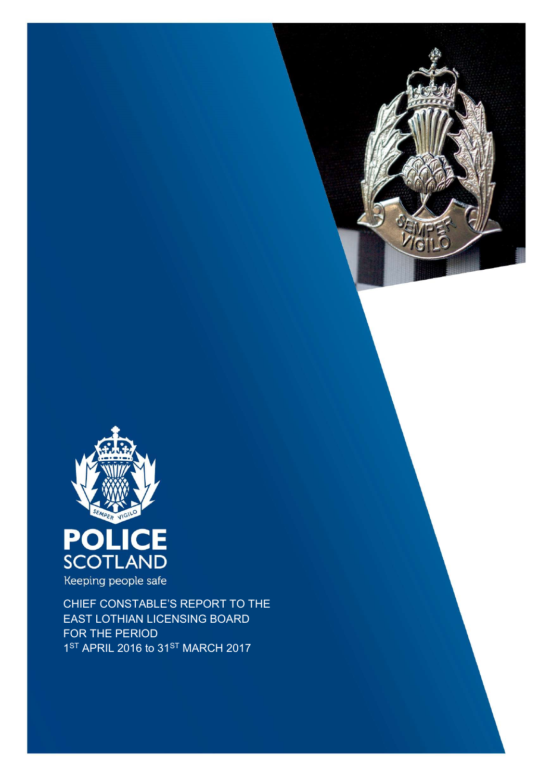



Keeping people safe

CHIEF CONSTABLE'S REPORT TO THE EAST LOTHIAN LICENSING BOARD FOR THE PERIOD 1<sup>ST</sup> APRIL 2016 to 31<sup>ST</sup> MARCH 2017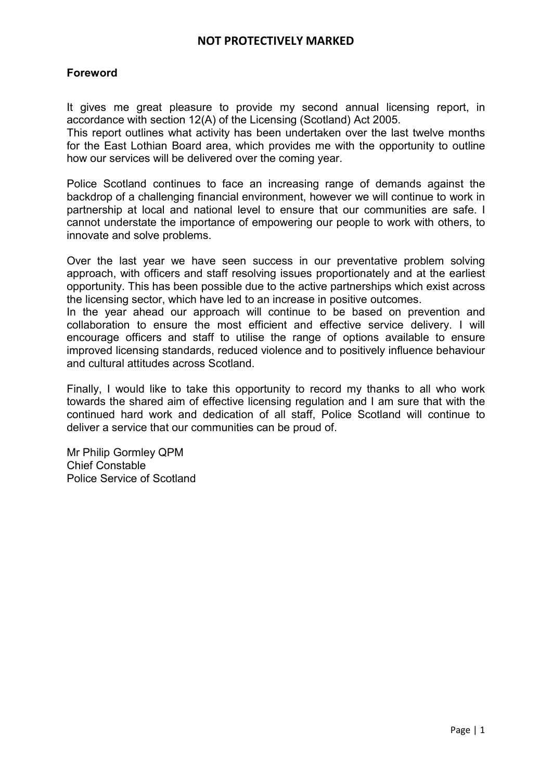# Foreword

It gives me great pleasure to provide my second annual licensing report, in accordance with section 12(A) of the Licensing (Scotland) Act 2005.

This report outlines what activity has been undertaken over the last twelve months for the East Lothian Board area, which provides me with the opportunity to outline how our services will be delivered over the coming year.

Police Scotland continues to face an increasing range of demands against the backdrop of a challenging financial environment, however we will continue to work in partnership at local and national level to ensure that our communities are safe. I cannot understate the importance of empowering our people to work with others, to innovate and solve problems.

Over the last year we have seen success in our preventative problem solving approach, with officers and staff resolving issues proportionately and at the earliest opportunity. This has been possible due to the active partnerships which exist across the licensing sector, which have led to an increase in positive outcomes.

In the year ahead our approach will continue to be based on prevention and collaboration to ensure the most efficient and effective service delivery. I will encourage officers and staff to utilise the range of options available to ensure improved licensing standards, reduced violence and to positively influence behaviour and cultural attitudes across Scotland.

Finally, I would like to take this opportunity to record my thanks to all who work towards the shared aim of effective licensing regulation and I am sure that with the continued hard work and dedication of all staff, Police Scotland will continue to deliver a service that our communities can be proud of.

Mr Philip Gormley QPM Chief Constable Police Service of Scotland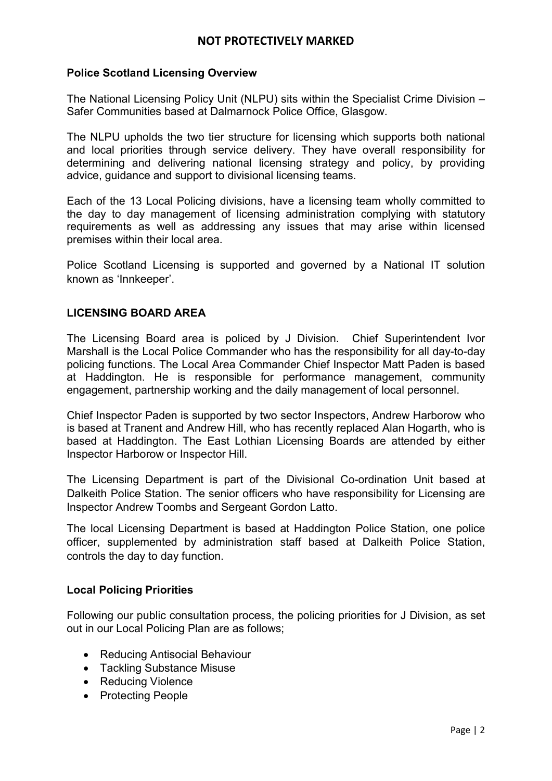### Police Scotland Licensing Overview

The National Licensing Policy Unit (NLPU) sits within the Specialist Crime Division – Safer Communities based at Dalmarnock Police Office, Glasgow.

The NLPU upholds the two tier structure for licensing which supports both national and local priorities through service delivery. They have overall responsibility for determining and delivering national licensing strategy and policy, by providing advice, guidance and support to divisional licensing teams.

Each of the 13 Local Policing divisions, have a licensing team wholly committed to the day to day management of licensing administration complying with statutory requirements as well as addressing any issues that may arise within licensed premises within their local area.

Police Scotland Licensing is supported and governed by a National IT solution known as 'Innkeeper'.

## LICENSING BOARD AREA

The Licensing Board area is policed by J Division. Chief Superintendent Ivor Marshall is the Local Police Commander who has the responsibility for all day-to-day policing functions. The Local Area Commander Chief Inspector Matt Paden is based at Haddington. He is responsible for performance management, community engagement, partnership working and the daily management of local personnel.

Chief Inspector Paden is supported by two sector Inspectors, Andrew Harborow who is based at Tranent and Andrew Hill, who has recently replaced Alan Hogarth, who is based at Haddington. The East Lothian Licensing Boards are attended by either Inspector Harborow or Inspector Hill.

The Licensing Department is part of the Divisional Co-ordination Unit based at Dalkeith Police Station. The senior officers who have responsibility for Licensing are Inspector Andrew Toombs and Sergeant Gordon Latto.

The local Licensing Department is based at Haddington Police Station, one police officer, supplemented by administration staff based at Dalkeith Police Station, controls the day to day function.

#### Local Policing Priorities

Following our public consultation process, the policing priorities for J Division, as set out in our Local Policing Plan are as follows;

- Reducing Antisocial Behaviour
- Tackling Substance Misuse
- Reducing Violence
- Protecting People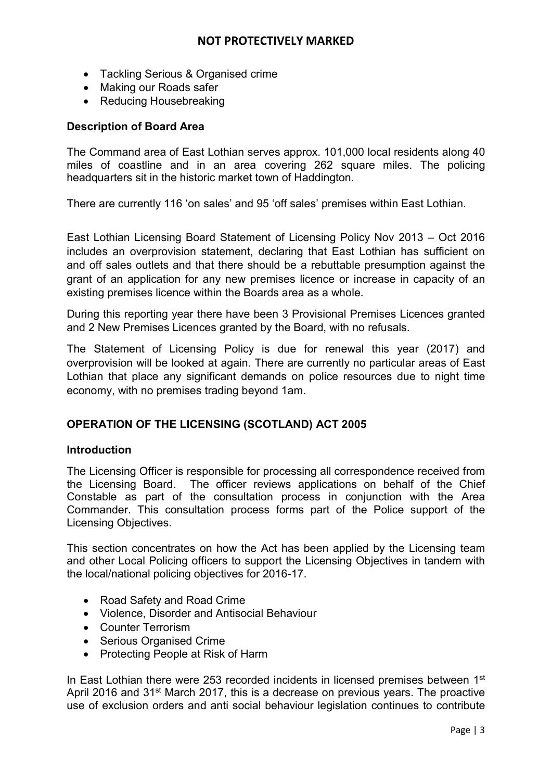- Tackling Serious & Organised crime
- Making our Roads safer
- Reducing Housebreaking

## Description of Board Area

The Command area of East Lothian serves approx. 101,000 local residents along 40 miles of coastline and in an area covering 262 square miles. The policing headquarters sit in the historic market town of Haddington.

There are currently 116 'on sales' and 95 'off sales' premises within East Lothian.

East Lothian Licensing Board Statement of Licensing Policy Nov 2013 – Oct 2016 includes an overprovision statement, declaring that East Lothian has sufficient on and off sales outlets and that there should be a rebuttable presumption against the grant of an application for any new premises licence or increase in capacity of an existing premises licence within the Boards area as a whole.

During this reporting year there have been 3 Provisional Premises Licences granted and 2 New Premises Licences granted by the Board, with no refusals.

The Statement of Licensing Policy is due for renewal this year (2017) and overprovision will be looked at again. There are currently no particular areas of East Lothian that place any significant demands on police resources due to night time economy, with no premises trading beyond 1am.

## OPERATION OF THE LICENSING (SCOTLAND) ACT 2005

## Introduction

The Licensing Officer is responsible for processing all correspondence received from the Licensing Board. The officer reviews applications on behalf of the Chief Constable as part of the consultation process in conjunction with the Area Commander. This consultation process forms part of the Police support of the Licensing Objectives.

This section concentrates on how the Act has been applied by the Licensing team and other Local Policing officers to support the Licensing Objectives in tandem with the local/national policing objectives for 2016-17.

- Road Safety and Road Crime
- Violence, Disorder and Antisocial Behaviour
- **Counter Terrorism**
- Serious Organised Crime
- Protecting People at Risk of Harm

In East Lothian there were 253 recorded incidents in licensed premises between  $1<sup>st</sup>$ April 2016 and 31<sup>st</sup> March 2017, this is a decrease on previous years. The proactive use of exclusion orders and anti social behaviour legislation continues to contribute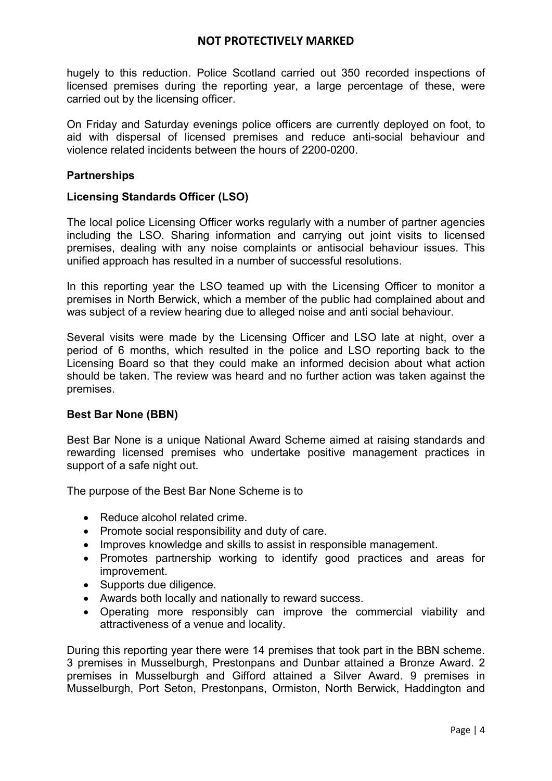hugely to this reduction. Police Scotland carried out 350 recorded inspections of licensed premises during the reporting year, a large percentage of these, were carried out by the licensing officer.

On Friday and Saturday evenings police officers are currently deployed on foot, to aid with dispersal of licensed premises and reduce anti-social behaviour and violence related incidents between the hours of 2200-0200.

### **Partnerships**

#### Licensing Standards Officer (LSO)

The local police Licensing Officer works regularly with a number of partner agencies including the LSO. Sharing information and carrying out joint visits to licensed premises, dealing with any noise complaints or antisocial behaviour issues. This unified approach has resulted in a number of successful resolutions.

In this reporting year the LSO teamed up with the Licensing Officer to monitor a premises in North Berwick, which a member of the public had complained about and was subject of a review hearing due to alleged noise and anti social behaviour.

Several visits were made by the Licensing Officer and LSO late at night, over a period of 6 months, which resulted in the police and LSO reporting back to the Licensing Board so that they could make an informed decision about what action should be taken. The review was heard and no further action was taken against the premises.

## Best Bar None (BBN)

Best Bar None is a unique National Award Scheme aimed at raising standards and rewarding licensed premises who undertake positive management practices in support of a safe night out.

The purpose of the Best Bar None Scheme is to

- Reduce alcohol related crime.
- Promote social responsibility and duty of care.
- Improves knowledge and skills to assist in responsible management.
- Promotes partnership working to identify good practices and areas for improvement.
- Supports due diligence.
- Awards both locally and nationally to reward success.
- Operating more responsibly can improve the commercial viability and attractiveness of a venue and locality.

During this reporting year there were 14 premises that took part in the BBN scheme. 3 premises in Musselburgh, Prestonpans and Dunbar attained a Bronze Award. 2 premises in Musselburgh and Gifford attained a Silver Award. 9 premises in Musselburgh, Port Seton, Prestonpans, Ormiston, North Berwick, Haddington and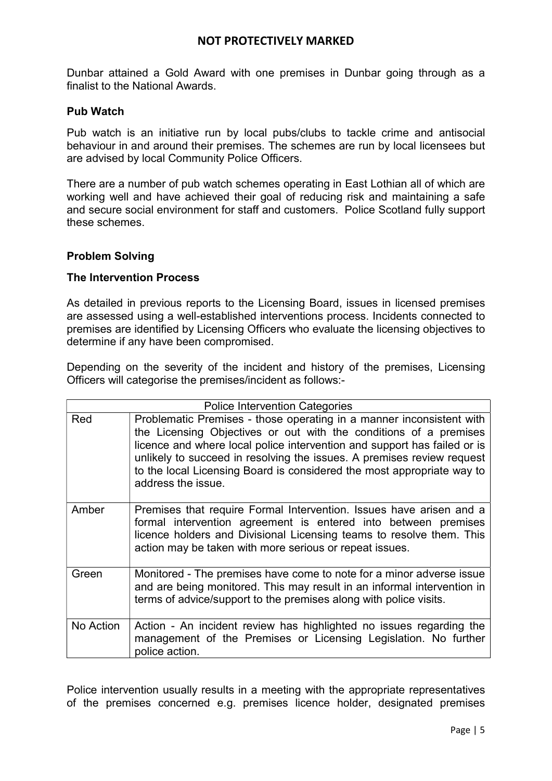Dunbar attained a Gold Award with one premises in Dunbar going through as a finalist to the National Awards.

#### Pub Watch

Pub watch is an initiative run by local pubs/clubs to tackle crime and antisocial behaviour in and around their premises. The schemes are run by local licensees but are advised by local Community Police Officers.

There are a number of pub watch schemes operating in East Lothian all of which are working well and have achieved their goal of reducing risk and maintaining a safe and secure social environment for staff and customers. Police Scotland fully support these schemes.

#### Problem Solving

#### The Intervention Process

As detailed in previous reports to the Licensing Board, issues in licensed premises are assessed using a well-established interventions process. Incidents connected to premises are identified by Licensing Officers who evaluate the licensing objectives to determine if any have been compromised.

Depending on the severity of the incident and history of the premises, Licensing Officers will categorise the premises/incident as follows:-

| <b>Police Intervention Categories</b> |                                                                                                                                                                                                                                                                                                                                                                                                 |  |
|---------------------------------------|-------------------------------------------------------------------------------------------------------------------------------------------------------------------------------------------------------------------------------------------------------------------------------------------------------------------------------------------------------------------------------------------------|--|
| Red                                   | Problematic Premises - those operating in a manner inconsistent with<br>the Licensing Objectives or out with the conditions of a premises<br>licence and where local police intervention and support has failed or is<br>unlikely to succeed in resolving the issues. A premises review request<br>to the local Licensing Board is considered the most appropriate way to<br>address the issue. |  |
| Amber                                 | Premises that require Formal Intervention. Issues have arisen and a<br>formal intervention agreement is entered into between premises<br>licence holders and Divisional Licensing teams to resolve them. This<br>action may be taken with more serious or repeat issues.                                                                                                                        |  |
| Green                                 | Monitored - The premises have come to note for a minor adverse issue<br>and are being monitored. This may result in an informal intervention in<br>terms of advice/support to the premises along with police visits.                                                                                                                                                                            |  |
| No Action                             | Action - An incident review has highlighted no issues regarding the<br>management of the Premises or Licensing Legislation. No further<br>police action.                                                                                                                                                                                                                                        |  |

Police intervention usually results in a meeting with the appropriate representatives of the premises concerned e.g. premises licence holder, designated premises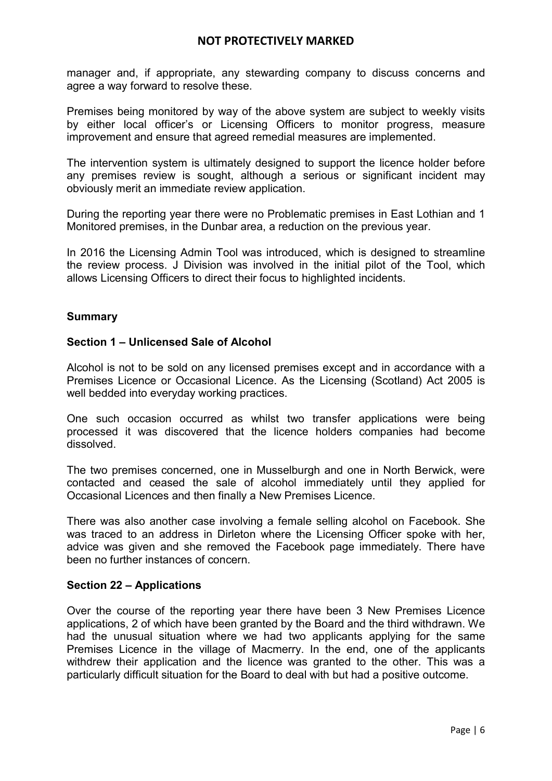manager and, if appropriate, any stewarding company to discuss concerns and agree a way forward to resolve these.

Premises being monitored by way of the above system are subject to weekly visits by either local officer's or Licensing Officers to monitor progress, measure improvement and ensure that agreed remedial measures are implemented.

The intervention system is ultimately designed to support the licence holder before any premises review is sought, although a serious or significant incident may obviously merit an immediate review application.

During the reporting year there were no Problematic premises in East Lothian and 1 Monitored premises, in the Dunbar area, a reduction on the previous year.

In 2016 the Licensing Admin Tool was introduced, which is designed to streamline the review process. J Division was involved in the initial pilot of the Tool, which allows Licensing Officers to direct their focus to highlighted incidents.

# Summary

## Section 1 – Unlicensed Sale of Alcohol

Alcohol is not to be sold on any licensed premises except and in accordance with a Premises Licence or Occasional Licence. As the Licensing (Scotland) Act 2005 is well bedded into everyday working practices.

One such occasion occurred as whilst two transfer applications were being processed it was discovered that the licence holders companies had become dissolved.

The two premises concerned, one in Musselburgh and one in North Berwick, were contacted and ceased the sale of alcohol immediately until they applied for Occasional Licences and then finally a New Premises Licence.

There was also another case involving a female selling alcohol on Facebook. She was traced to an address in Dirleton where the Licensing Officer spoke with her, advice was given and she removed the Facebook page immediately. There have been no further instances of concern.

## Section 22 – Applications

Over the course of the reporting year there have been 3 New Premises Licence applications, 2 of which have been granted by the Board and the third withdrawn. We had the unusual situation where we had two applicants applying for the same Premises Licence in the village of Macmerry. In the end, one of the applicants withdrew their application and the licence was granted to the other. This was a particularly difficult situation for the Board to deal with but had a positive outcome.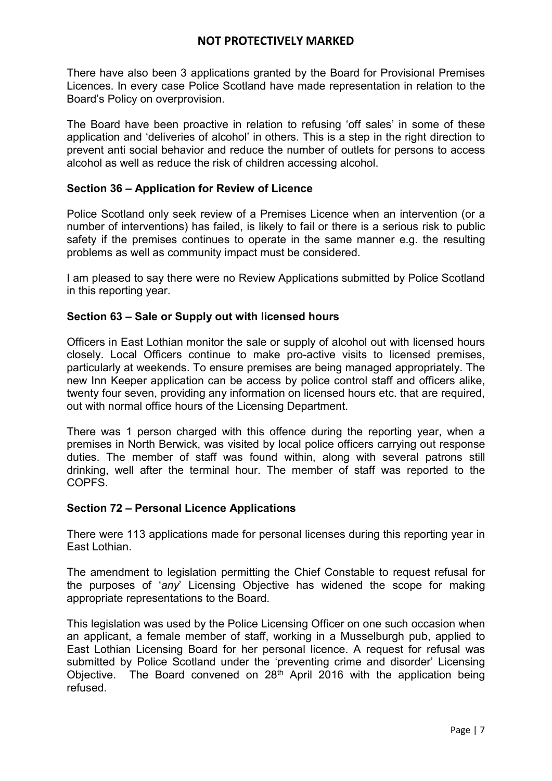There have also been 3 applications granted by the Board for Provisional Premises Licences. In every case Police Scotland have made representation in relation to the Board's Policy on overprovision.

The Board have been proactive in relation to refusing 'off sales' in some of these application and 'deliveries of alcohol' in others. This is a step in the right direction to prevent anti social behavior and reduce the number of outlets for persons to access alcohol as well as reduce the risk of children accessing alcohol.

## Section 36 – Application for Review of Licence

Police Scotland only seek review of a Premises Licence when an intervention (or a number of interventions) has failed, is likely to fail or there is a serious risk to public safety if the premises continues to operate in the same manner e.g. the resulting problems as well as community impact must be considered.

I am pleased to say there were no Review Applications submitted by Police Scotland in this reporting year.

#### Section 63 – Sale or Supply out with licensed hours

Officers in East Lothian monitor the sale or supply of alcohol out with licensed hours closely. Local Officers continue to make pro-active visits to licensed premises, particularly at weekends. To ensure premises are being managed appropriately. The new Inn Keeper application can be access by police control staff and officers alike, twenty four seven, providing any information on licensed hours etc. that are required, out with normal office hours of the Licensing Department.

There was 1 person charged with this offence during the reporting year, when a premises in North Berwick, was visited by local police officers carrying out response duties. The member of staff was found within, along with several patrons still drinking, well after the terminal hour. The member of staff was reported to the COPFS.

#### Section 72 – Personal Licence Applications

There were 113 applications made for personal licenses during this reporting year in East Lothian.

The amendment to legislation permitting the Chief Constable to request refusal for the purposes of 'any' Licensing Objective has widened the scope for making appropriate representations to the Board.

This legislation was used by the Police Licensing Officer on one such occasion when an applicant, a female member of staff, working in a Musselburgh pub, applied to East Lothian Licensing Board for her personal licence. A request for refusal was submitted by Police Scotland under the 'preventing crime and disorder' Licensing Objective. The Board convened on  $28<sup>th</sup>$  April 2016 with the application being refused.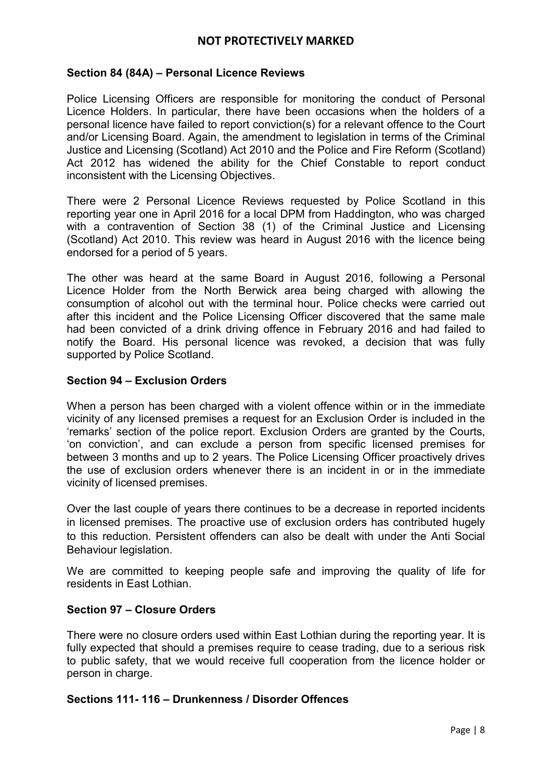### Section 84 (84A) – Personal Licence Reviews

Police Licensing Officers are responsible for monitoring the conduct of Personal Licence Holders. In particular, there have been occasions when the holders of a personal licence have failed to report conviction(s) for a relevant offence to the Court and/or Licensing Board. Again, the amendment to legislation in terms of the Criminal Justice and Licensing (Scotland) Act 2010 and the Police and Fire Reform (Scotland) Act 2012 has widened the ability for the Chief Constable to report conduct inconsistent with the Licensing Objectives.

There were 2 Personal Licence Reviews requested by Police Scotland in this reporting year one in April 2016 for a local DPM from Haddington, who was charged with a contravention of Section 38 (1) of the Criminal Justice and Licensing (Scotland) Act 2010. This review was heard in August 2016 with the licence being endorsed for a period of 5 years.

The other was heard at the same Board in August 2016, following a Personal Licence Holder from the North Berwick area being charged with allowing the consumption of alcohol out with the terminal hour. Police checks were carried out after this incident and the Police Licensing Officer discovered that the same male had been convicted of a drink driving offence in February 2016 and had failed to notify the Board. His personal licence was revoked, a decision that was fully supported by Police Scotland.

#### Section 94 – Exclusion Orders

When a person has been charged with a violent offence within or in the immediate vicinity of any licensed premises a request for an Exclusion Order is included in the 'remarks' section of the police report. Exclusion Orders are granted by the Courts, 'on conviction', and can exclude a person from specific licensed premises for between 3 months and up to 2 years. The Police Licensing Officer proactively drives the use of exclusion orders whenever there is an incident in or in the immediate vicinity of licensed premises.

Over the last couple of years there continues to be a decrease in reported incidents in licensed premises. The proactive use of exclusion orders has contributed hugely to this reduction. Persistent offenders can also be dealt with under the Anti Social Behaviour legislation.

We are committed to keeping people safe and improving the quality of life for residents in East Lothian.

## Section 97 – Closure Orders

There were no closure orders used within East Lothian during the reporting year. It is fully expected that should a premises require to cease trading, due to a serious risk to public safety, that we would receive full cooperation from the licence holder or person in charge.

# Sections 111- 116 – Drunkenness / Disorder Offences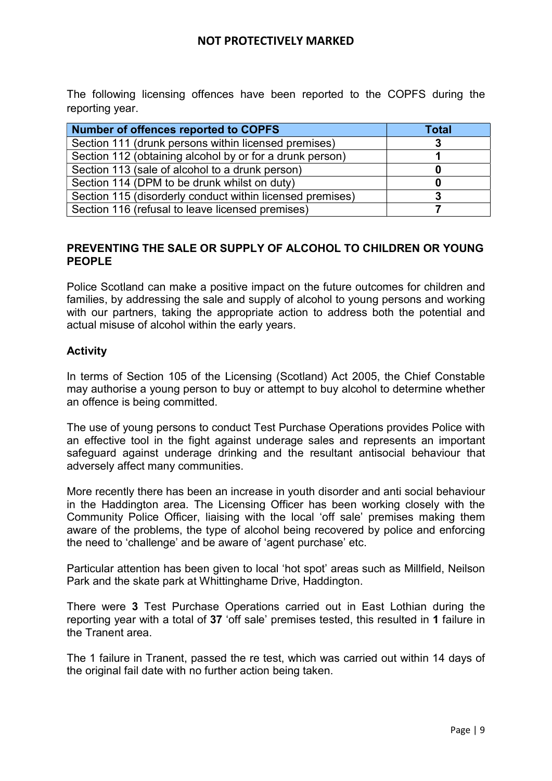The following licensing offences have been reported to the COPFS during the reporting year.

| Number of offences reported to COPFS                      | Total |
|-----------------------------------------------------------|-------|
| Section 111 (drunk persons within licensed premises)      |       |
| Section 112 (obtaining alcohol by or for a drunk person)  |       |
| Section 113 (sale of alcohol to a drunk person)           |       |
| Section 114 (DPM to be drunk whilst on duty)              |       |
| Section 115 (disorderly conduct within licensed premises) |       |
| Section 116 (refusal to leave licensed premises)          |       |

## PREVENTING THE SALE OR SUPPLY OF ALCOHOL TO CHILDREN OR YOUNG PEOPLE

Police Scotland can make a positive impact on the future outcomes for children and families, by addressing the sale and supply of alcohol to young persons and working with our partners, taking the appropriate action to address both the potential and actual misuse of alcohol within the early years.

## **Activity**

In terms of Section 105 of the Licensing (Scotland) Act 2005, the Chief Constable may authorise a young person to buy or attempt to buy alcohol to determine whether an offence is being committed.

The use of young persons to conduct Test Purchase Operations provides Police with an effective tool in the fight against underage sales and represents an important safeguard against underage drinking and the resultant antisocial behaviour that adversely affect many communities.

More recently there has been an increase in youth disorder and anti social behaviour in the Haddington area. The Licensing Officer has been working closely with the Community Police Officer, liaising with the local 'off sale' premises making them aware of the problems, the type of alcohol being recovered by police and enforcing the need to 'challenge' and be aware of 'agent purchase' etc.

Particular attention has been given to local 'hot spot' areas such as Millfield, Neilson Park and the skate park at Whittinghame Drive, Haddington.

There were 3 Test Purchase Operations carried out in East Lothian during the reporting year with a total of 37 'off sale' premises tested, this resulted in 1 failure in the Tranent area.

The 1 failure in Tranent, passed the re test, which was carried out within 14 days of the original fail date with no further action being taken.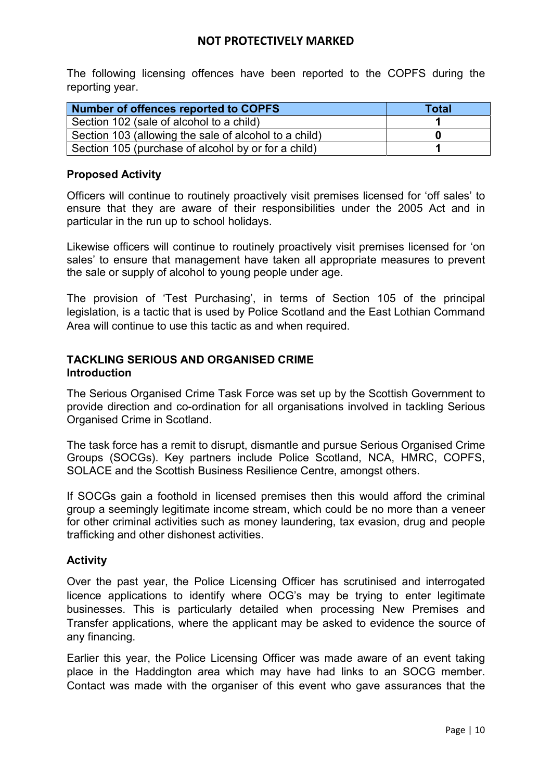The following licensing offences have been reported to the COPFS during the reporting year.

| Number of offences reported to COPFS                  | <b>Total</b> |
|-------------------------------------------------------|--------------|
| Section 102 (sale of alcohol to a child)              |              |
| Section 103 (allowing the sale of alcohol to a child) |              |
| Section 105 (purchase of alcohol by or for a child)   |              |

# Proposed Activity

Officers will continue to routinely proactively visit premises licensed for 'off sales' to ensure that they are aware of their responsibilities under the 2005 Act and in particular in the run up to school holidays.

Likewise officers will continue to routinely proactively visit premises licensed for 'on sales' to ensure that management have taken all appropriate measures to prevent the sale or supply of alcohol to young people under age.

The provision of 'Test Purchasing', in terms of Section 105 of the principal legislation, is a tactic that is used by Police Scotland and the East Lothian Command Area will continue to use this tactic as and when required.

## TACKLING SERIOUS AND ORGANISED CRIME **Introduction**

The Serious Organised Crime Task Force was set up by the Scottish Government to provide direction and co-ordination for all organisations involved in tackling Serious Organised Crime in Scotland.

The task force has a remit to disrupt, dismantle and pursue Serious Organised Crime Groups (SOCGs). Key partners include Police Scotland, NCA, HMRC, COPFS, SOLACE and the Scottish Business Resilience Centre, amongst others.

If SOCGs gain a foothold in licensed premises then this would afford the criminal group a seemingly legitimate income stream, which could be no more than a veneer for other criminal activities such as money laundering, tax evasion, drug and people trafficking and other dishonest activities.

# **Activity**

Over the past year, the Police Licensing Officer has scrutinised and interrogated licence applications to identify where OCG's may be trying to enter legitimate businesses. This is particularly detailed when processing New Premises and Transfer applications, where the applicant may be asked to evidence the source of any financing.

Earlier this year, the Police Licensing Officer was made aware of an event taking place in the Haddington area which may have had links to an SOCG member. Contact was made with the organiser of this event who gave assurances that the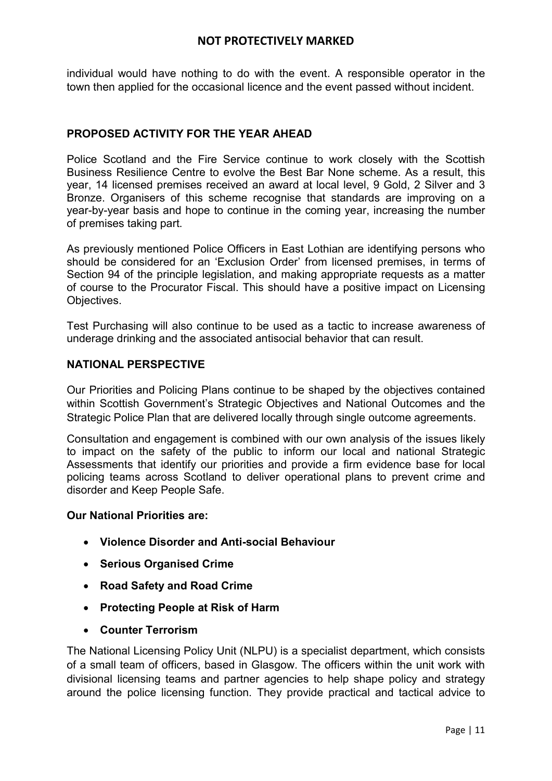individual would have nothing to do with the event. A responsible operator in the town then applied for the occasional licence and the event passed without incident.

# PROPOSED ACTIVITY FOR THE YEAR AHEAD

Police Scotland and the Fire Service continue to work closely with the Scottish Business Resilience Centre to evolve the Best Bar None scheme. As a result, this year, 14 licensed premises received an award at local level, 9 Gold, 2 Silver and 3 Bronze. Organisers of this scheme recognise that standards are improving on a year-by-year basis and hope to continue in the coming year, increasing the number of premises taking part.

As previously mentioned Police Officers in East Lothian are identifying persons who should be considered for an 'Exclusion Order' from licensed premises, in terms of Section 94 of the principle legislation, and making appropriate requests as a matter of course to the Procurator Fiscal. This should have a positive impact on Licensing Objectives.

Test Purchasing will also continue to be used as a tactic to increase awareness of underage drinking and the associated antisocial behavior that can result.

### NATIONAL PERSPECTIVE

Our Priorities and Policing Plans continue to be shaped by the objectives contained within Scottish Government's Strategic Objectives and National Outcomes and the Strategic Police Plan that are delivered locally through single outcome agreements.

Consultation and engagement is combined with our own analysis of the issues likely to impact on the safety of the public to inform our local and national Strategic Assessments that identify our priorities and provide a firm evidence base for local policing teams across Scotland to deliver operational plans to prevent crime and disorder and Keep People Safe.

#### Our National Priorities are:

- Violence Disorder and Anti-social Behaviour
- Serious Organised Crime
- Road Safety and Road Crime
- Protecting People at Risk of Harm
- Counter Terrorism

The National Licensing Policy Unit (NLPU) is a specialist department, which consists of a small team of officers, based in Glasgow. The officers within the unit work with divisional licensing teams and partner agencies to help shape policy and strategy around the police licensing function. They provide practical and tactical advice to